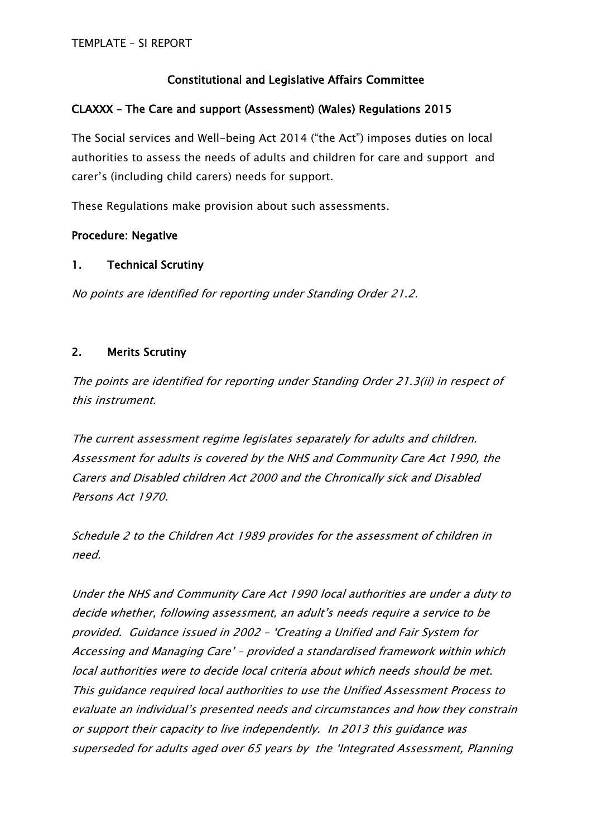# **Constitutional and Legislative Affairs Committee**

## **CLAXXX – The Care and support (Assessment) (Wales) Regulations 2015**

The Social services and Well-being Act 2014 ("the Act") imposes duties on local authorities to assess the needs of adults and children for care and support and carer's (including child carers) needs for support.

These Regulations make provision about such assessments.

#### **Procedure: Negative**

#### **1. Technical Scrutiny**

*No points are identified for reporting under Standing Order 21.2.*

### **2. Merits Scrutiny**

*The points are identified for reporting under Standing Order 21.3(ii) in respect of this instrument.*

*The current assessment regime legislates separately for adults and children. Assessment for adults is covered by the NHS and Community Care Act 1990, the Carers and Disabled children Act 2000 and the Chronically sick and Disabled Persons Act 1970.*

*Schedule 2 to the Children Act 1989 provides for the assessment of children in need.*

*Under the NHS and Community Care Act 1990 local authorities are under <sup>a</sup> duty to decide whether, following assessment, an adult's needs require <sup>a</sup> service to be provided. Guidance issued in 2002 – 'Creating <sup>a</sup> Unified and Fair System for Accessing and Managing Care' – provided <sup>a</sup> standardised framework within which local authorities were to decide local criteria about which needs should be met. This guidance required local authorities to use the Unified Assessment Process to evaluate an individual's presented needs and circumstances and how they constrain or support their capacity to live independently. In 2013 this guidance was superseded for adults aged over 65 years by the 'Integrated Assessment, Planning*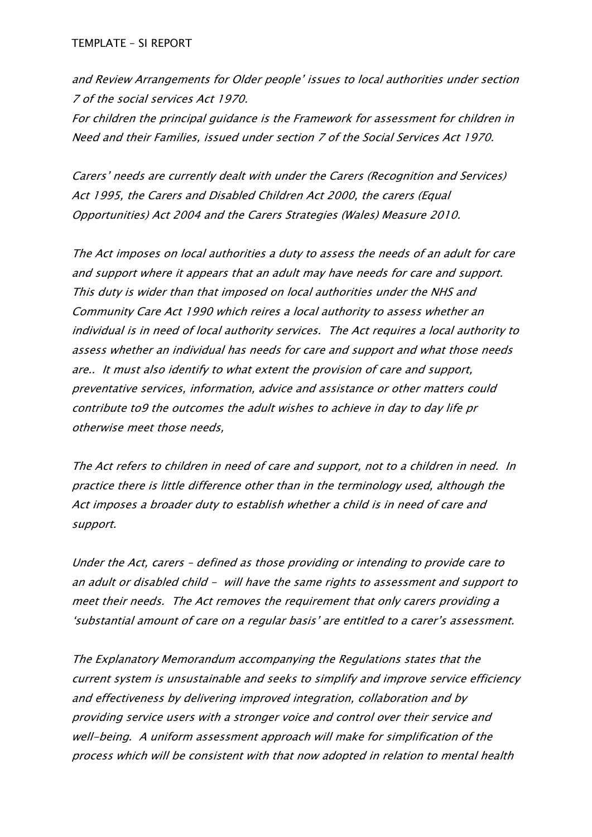*and Review Arrangements for Older people' issues to local authorities under section 7 of the social services Act 1970.*

*For children the principal guidance is the Framework for assessment for children in Need and their Families, issued under section 7 of the Social Services Act 1970.*

*Carers' needs are currently dealt with under the Carers (Recognition and Services) Act 1995, the Carers and Disabled Children Act 2000, the carers (Equal Opportunities) Act 2004 and the Carers Strategies (Wales) Measure 2010.*

*The Act imposes on local authorities <sup>a</sup> duty to assess the needs of an adult for care and support where it appears that an adult may have needs for care and support. This duty is wider than that imposed on local authorities under the NHS and Community Care Act 1990 which reires <sup>a</sup> local authority to assess whether an individual is in need of local authority services. The Act requires <sup>a</sup> local authority to assess whether an individual has needs for care and support and what those needs are.. It must also identify to what extent the provision of care and support, preventative services, information, advice and assistance or other matters could contribute to9 the outcomes the adult wishes to achieve in day to day life pr otherwise meet those needs,*

*The Act refers to children in need of care and support, not to <sup>a</sup> children in need. In practice there is little difference other than in the terminology used, although the Act imposes <sup>a</sup> broader duty to establish whether <sup>a</sup> child is in need of care and support.*

*Under the Act, carers – defined as those providing or intending to provide care to an adult or disabled child - will have the same rights to assessment and support to meet their needs. The Act removes the requirement that only carers providing <sup>a</sup> 'substantial amount of care on <sup>a</sup> regular basis' are entitled to <sup>a</sup> carer's assessment.*

*The Explanatory Memorandum accompanying the Regulations states that the current system is unsustainable and seeks to simplify and improve service efficiency and effectiveness by delivering improved integration, collaboration and by providing service users with <sup>a</sup> stronger voice and control over their service and well-being. A uniform assessment approach will make for simplification of the process which will be consistent with that now adopted in relation to mental health*